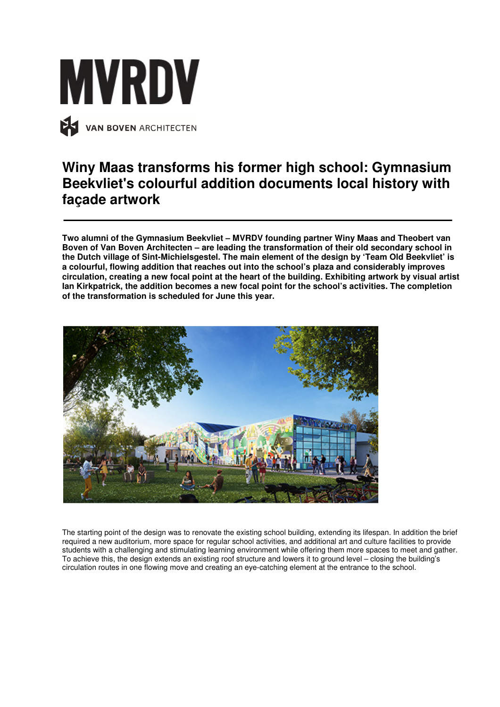

## **Winy Maas transforms his former high school: Gymnasium Beekvliet's colourful addition documents local history with façade artwork**

**Two alumni of the Gymnasium Beekvliet – MVRDV founding partner Winy Maas and Theobert van Boven of Van Boven Architecten – are leading the transformation of their old secondary school in the Dutch village of Sint-Michielsgestel. The main element of the design by 'Team Old Beekvliet' is a colourful, flowing addition that reaches out into the school's plaza and considerably improves circulation, creating a new focal point at the heart of the building. Exhibiting artwork by visual artist Ian Kirkpatrick, the addition becomes a new focal point for the school's activities. The completion of the transformation is scheduled for June this year.** 



The starting point of the design was to renovate the existing school building, extending its lifespan. In addition the brief required a new auditorium, more space for regular school activities, and additional art and culture facilities to provide students with a challenging and stimulating learning environment while offering them more spaces to meet and gather. To achieve this, the design extends an existing roof structure and lowers it to ground level – closing the building's circulation routes in one flowing move and creating an eye-catching element at the entrance to the school.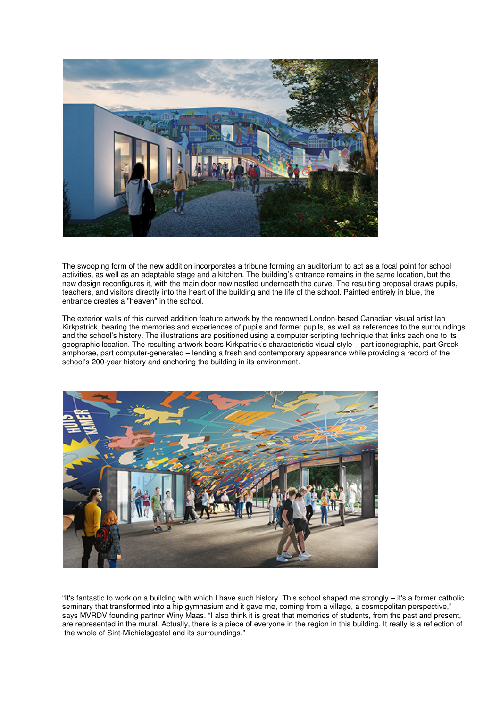

The swooping form of the new addition incorporates a tribune forming an auditorium to act as a focal point for school activities, as well as an adaptable stage and a kitchen. The building's entrance remains in the same location, but the new design reconfigures it, with the main door now nestled underneath the curve. The resulting proposal draws pupils, teachers, and visitors directly into the heart of the building and the life of the school. Painted entirely in blue, the entrance creates a "heaven" in the school.

The exterior walls of this curved addition feature artwork by the renowned London-based Canadian visual artist Ian Kirkpatrick, bearing the memories and experiences of pupils and former pupils, as well as references to the surroundings and the school's history. The illustrations are positioned using a computer scripting technique that links each one to its geographic location. The resulting artwork bears Kirkpatrick's characteristic visual style – part iconographic, part Greek amphorae, part computer-generated – lending a fresh and contemporary appearance while providing a record of the school's 200-year history and anchoring the building in its environment.



"It's fantastic to work on a building with which I have such history. This school shaped me strongly – it's a former catholic seminary that transformed into a hip gymnasium and it gave me, coming from a village, a cosmopolitan perspective," says MVRDV founding partner Winy Maas. "I also think it is great that memories of students, from the past and present, are represented in the mural. Actually, there is a piece of everyone in the region in this building. It really is a reflection of the whole of Sint-Michielsgestel and its surroundings."